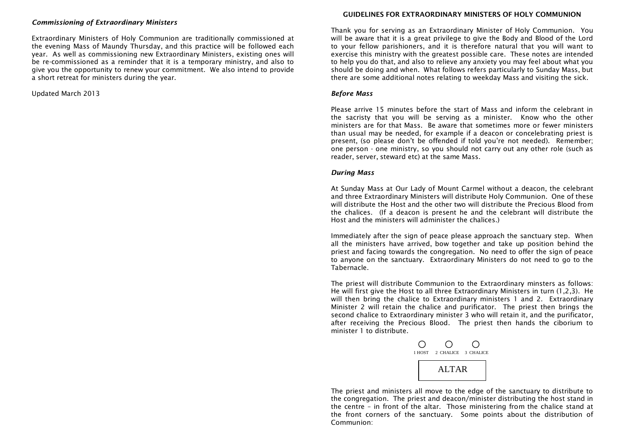#### *Commissioning of Extraordinary Ministers*

Extraordinary Ministers of Holy Communion are traditionally commissioned at the evening Mass of Maundy Thursday, and this practice will be followed each year. As well as commissioning new Extraordinary Ministers, existing ones will be re-commissioned as a reminder that it is a temporary ministry, and also to give you the opportunity to renew your commitment. We also intend to provide a short retreat for ministers during the year.

Updated March 2013

#### **GUIDELINES FOR EXTRAORDINARY MINISTERS OF HOLY COMMUNION**

Thank you for serving as an Extraordinary Minister of Holy Communion. You will be aware that it is a great privilege to give the Body and Blood of the Lord to your fellow parishioners, and it is therefore natural that you will want to exercise this ministry with the greatest possible care. These notes are intended to help you do that, and also to relieve any anxiety you may feel about what you should be doing and when. What follows refers particularly to Sunday Mass, but there are some additional notes relating to weekday Mass and visiting the sick.

#### *Before Mass*

Please arrive 15 minutes before the start of Mass and inform the celebrant in the sacristy that you will be serving as a minister. Know who the other ministers are for that Mass. Be aware that sometimes more or fewer ministers than usual may be needed, for example if a deacon or concelebrating priest is present, (so please don't be offended if told you're not needed). Remember; one person - one ministry, so you should not carry out any other role (such as reader, server, steward etc) at the same Mass.

#### *During Mass*

At Sunday Mass at Our Lady of Mount Carmel without a deacon, the celebrant and three Extraordinary Ministers will distribute Holy Communion. One of these will distribute the Host and the other two will distribute the Precious Blood from the chalices. (If a deacon is present he and the celebrant will distribute the Host and the ministers will administer the chalices.)

Immediately after the sign of peace please approach the sanctuary step. When all the ministers have arrived, bow together and take up position behind the priest and facing towards the congregation. No need to offer the sign of peace to anyone on the sanctuary. Extraordinary Ministers do not need to go to the Tabernacle.

The priest will distribute Communion to the Extraordinary minsters as follows: He will first give the Host to all three Extraordinary Ministers in turn (1,2,3). He will then bring the chalice to Extraordinary ministers 1 and 2. Extraordinary Minister 2 will retain the chalice and purificator. The priest then brings the second chalice to Extraordinary minister 3 who will retain it, and the purificator, after receiving the Precious Blood. The priest then hands the ciborium to minister 1 to distribute.

|       | 1 HOST 2 CHALICE 3 CHALICE |  |
|-------|----------------------------|--|
| ALTAR |                            |  |

The priest and ministers all move to the edge of the sanctuary to distribute to the congregation. The priest and deacon/minister distributing the host stand in the centre – in front of the altar. Those ministering from the chalice stand at the front corners of the sanctuary. Some points about the distribution of Communion: